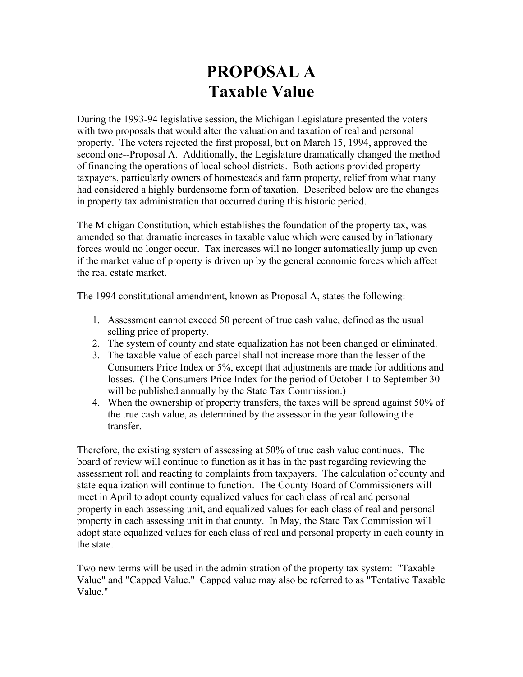# **PROPOSAL A Taxable Value**

During the 1993-94 legislative session, the Michigan Legislature presented the voters with two proposals that would alter the valuation and taxation of real and personal property. The voters rejected the first proposal, but on March 15, 1994, approved the second one--Proposal A. Additionally, the Legislature dramatically changed the method of financing the operations of local school districts. Both actions provided property taxpayers, particularly owners of homesteads and farm property, relief from what many had considered a highly burdensome form of taxation. Described below are the changes in property tax administration that occurred during this historic period.

The Michigan Constitution, which establishes the foundation of the property tax, was amended so that dramatic increases in taxable value which were caused by inflationary forces would no longer occur. Tax increases will no longer automatically jump up even if the market value of property is driven up by the general economic forces which affect the real estate market.

The 1994 constitutional amendment, known as Proposal A, states the following:

- 1. Assessment cannot exceed 50 percent of true cash value, defined as the usual selling price of property.
- 2. The system of county and state equalization has not been changed or eliminated.
- 3. The taxable value of each parcel shall not increase more than the lesser of the Consumers Price Index or 5%, except that adjustments are made for additions and losses. (The Consumers Price Index for the period of October 1 to September 30 will be published annually by the State Tax Commission.)
- 4. When the ownership of property transfers, the taxes will be spread against 50% of the true cash value, as determined by the assessor in the year following the transfer.

Therefore, the existing system of assessing at 50% of true cash value continues. The board of review will continue to function as it has in the past regarding reviewing the assessment roll and reacting to complaints from taxpayers. The calculation of county and state equalization will continue to function. The County Board of Commissioners will meet in April to adopt county equalized values for each class of real and personal property in each assessing unit, and equalized values for each class of real and personal property in each assessing unit in that county. In May, the State Tax Commission will adopt state equalized values for each class of real and personal property in each county in the state.

Two new terms will be used in the administration of the property tax system: "Taxable Value" and "Capped Value." Capped value may also be referred to as "Tentative Taxable Value."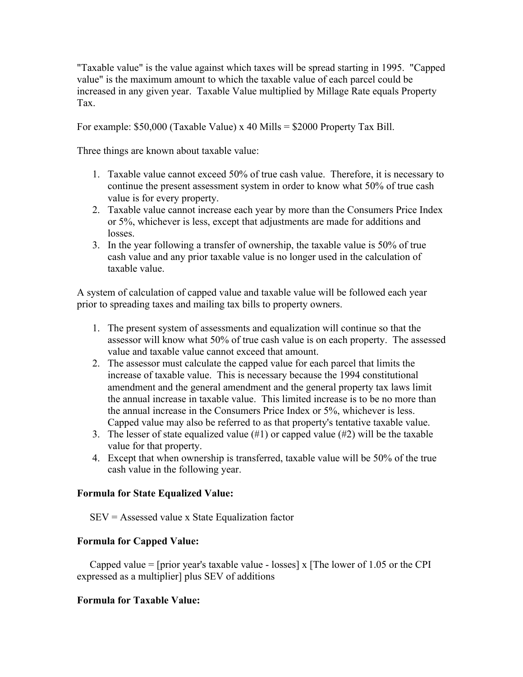"Taxable value" is the value against which taxes will be spread starting in 1995. "Capped value" is the maximum amount to which the taxable value of each parcel could be increased in any given year. Taxable Value multiplied by Millage Rate equals Property Tax.

For example: \$50,000 (Taxable Value) x 40 Mills = \$2000 Property Tax Bill.

Three things are known about taxable value:

- 1. Taxable value cannot exceed 50% of true cash value. Therefore, it is necessary to continue the present assessment system in order to know what 50% of true cash value is for every property.
- 2. Taxable value cannot increase each year by more than the Consumers Price Index or 5%, whichever is less, except that adjustments are made for additions and losses.
- 3. In the year following a transfer of ownership, the taxable value is 50% of true cash value and any prior taxable value is no longer used in the calculation of taxable value.

A system of calculation of capped value and taxable value will be followed each year prior to spreading taxes and mailing tax bills to property owners.

- 1. The present system of assessments and equalization will continue so that the assessor will know what 50% of true cash value is on each property. The assessed value and taxable value cannot exceed that amount.
- 2. The assessor must calculate the capped value for each parcel that limits the increase of taxable value. This is necessary because the 1994 constitutional amendment and the general amendment and the general property tax laws limit the annual increase in taxable value. This limited increase is to be no more than the annual increase in the Consumers Price Index or 5%, whichever is less. Capped value may also be referred to as that property's tentative taxable value.
- 3. The lesser of state equalized value (#1) or capped value (#2) will be the taxable value for that property.
- 4. Except that when ownership is transferred, taxable value will be 50% of the true cash value in the following year.

### **Formula for State Equalized Value:**

SEV = Assessed value x State Equalization factor

### **Formula for Capped Value:**

Capped value = [prior year's taxable value - losses] x [The lower of 1.05 or the CPI expressed as a multiplier] plus SEV of additions

### **Formula for Taxable Value:**